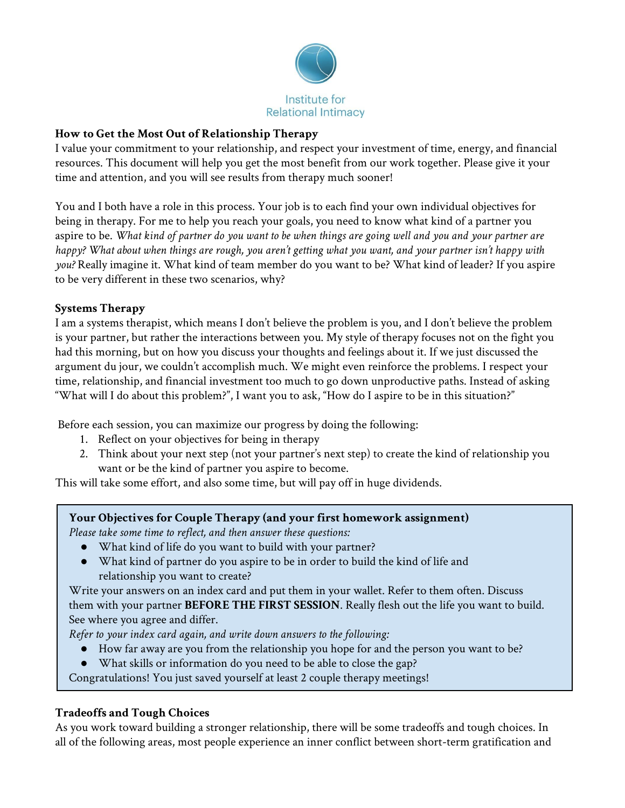

### **How to Get the Most Out of Relationship Therapy**

I value your commitment to your relationship, and respect your investment of time, energy, and financial resources. This document will help you get the most benefit from our work together. Please give it your time and attention, and you will see results from therapy much sooner!

You and I both have a role in this process. Your job is to each find your own individual objectives for being in therapy. For me to help you reach your goals, you need to know what kind of a partner you aspire to be. What kind of partner do you want to be when things are going well and you and your partner are happy? What about when things are rough, you aren't getting what you want, and your partner isn't happy with *you?* Really imagine it. What kind of team member do you want to be? What kind of leader? If you aspire to be very different in these two scenarios, why?

### **Systems Therapy**

I am a systems therapist, which means I don't believe the problem is you, and I don't believe the problem is your partner, but rather the interactions between you. My style of therapy focuses not on the fight you had this morning, but on how you discuss your thoughts and feelings about it. If we just discussed the argument du jour, we couldn't accomplish much. We might even reinforce the problems. I respect your time, relationship, and financial investment too much to go down unproductive paths. Instead of asking "What will I do about this problem?", I want you to ask, "How do I aspire to be in this situation?"

Before each session, you can maximize our progress by doing the following:

- 1. Reflect on your objectives for being in therapy
- 2. Think about your next step (not your partner's next step) to create the kind of relationship you want or be the kind of partner you aspire to become.

This will take some effort, and also some time, but will pay off in huge dividends.

## **Your Objectives for Couple Therapy (and your first homework assignment)**

*Please take some time to reflect, and then answer these questions:*

- What kind of life do you want to build with your partner?
- What kind of partner do you aspire to be in order to build the kind of life and relationship you want to create?

Write your answers on an index card and put them in your wallet. Refer to them often. Discuss them with your partner **BEFORE THE FIRST SESSION**. Really flesh out the life you want to build. See where you agree and differ.

*Refer to your index card again, and write down answers to the following:*

- How far away are you from the relationship you hope for and the person you want to be?
- What skills or information do you need to be able to close the gap?

Congratulations! You just saved yourself at least 2 couple therapy meetings!

## **Tradeoffs and Tough Choices**

As you work toward building a stronger relationship, there will be some tradeoffs and tough choices. In all of the following areas, most people experience an inner conflict between short-term gratification and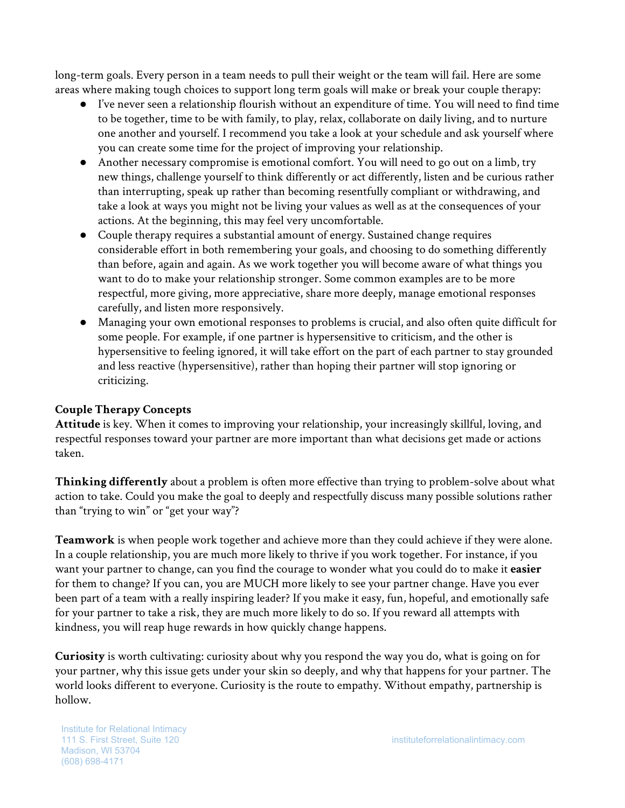long-term goals. Every person in a team needs to pull their weight or the team will fail. Here are some areas where making tough choices to support long term goals will make or break your couple therapy:

- I've never seen a relationship flourish without an expenditure of time. You will need to find time to be together, time to be with family, to play, relax, collaborate on daily living, and to nurture one another and yourself. I recommend you take a look at your schedule and ask yourself where you can create some time for the project of improving your relationship.
- Another necessary compromise is emotional comfort. You will need to go out on a limb, try new things, challenge yourself to think differently or act differently, listen and be curious rather than interrupting, speak up rather than becoming resentfully compliant or withdrawing, and take a look at ways you might not be living your values as well as at the consequences of your actions. At the beginning, this may feel very uncomfortable.
- Couple therapy requires a substantial amount of energy. Sustained change requires considerable effort in both remembering your goals, and choosing to do something differently than before, again and again. As we work together you will become aware of what things you want to do to make your relationship stronger. Some common examples are to be more respectful, more giving, more appreciative, share more deeply, manage emotional responses carefully, and listen more responsively.
- Managing your own emotional responses to problems is crucial, and also often quite difficult for some people. For example, if one partner is hypersensitive to criticism, and the other is hypersensitive to feeling ignored, it will take effort on the part of each partner to stay grounded and less reactive (hypersensitive), rather than hoping their partner will stop ignoring or criticizing.

## **Couple Therapy Concepts**

**Attitude** is key. When it comes to improving your relationship, your increasingly skillful, loving, and respectful responses toward your partner are more important than what decisions get made or actions taken.

**Thinking differently** about a problem is often more effective than trying to problem-solve about what action to take. Could you make the goal to deeply and respectfully discuss many possible solutions rather than "trying to win" or "get your way"?

**Teamwork** is when people work together and achieve more than they could achieve if they were alone. In a couple relationship, you are much more likely to thrive if you work together. For instance, if you want your partner to change, can you find the courage to wonder what you could do to make it **easier** for them to change? If you can, you are MUCH more likely to see your partner change. Have you ever been part of a team with a really inspiring leader? If you make it easy, fun, hopeful, and emotionally safe for your partner to take a risk, they are much more likely to do so. If you reward all attempts with kindness, you will reap huge rewards in how quickly change happens.

**Curiosity** is worth cultivating: curiosity about why you respond the way you do, what is going on for your partner, why this issue gets under your skin so deeply, and why that happens for your partner. The world looks different to everyone. Curiosity is the route to empathy. Without empathy, partnership is hollow.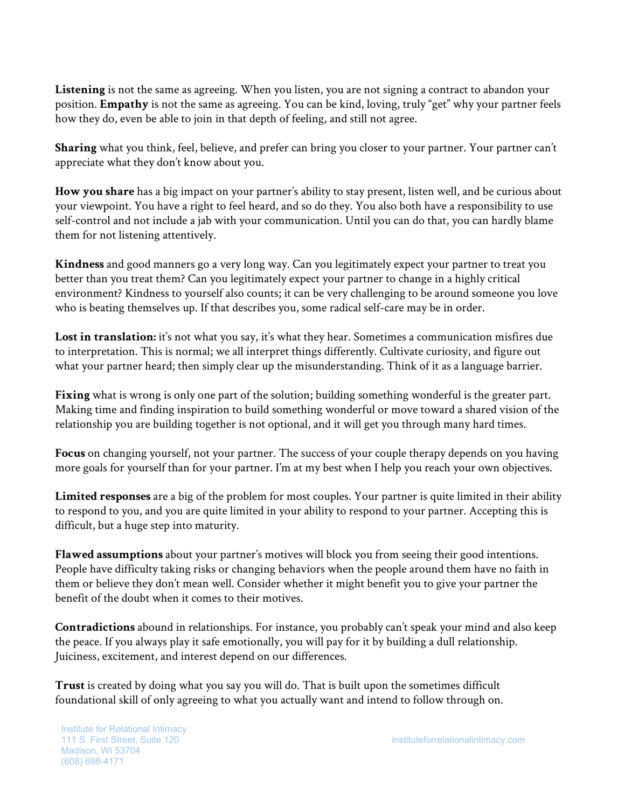**Listening** is not the same as agreeing. When you listen, you are not signing a contract to abandon your position. **Empathy** is not the same as agreeing. You can be kind, loving, truly "get" why your partner feels how they do, even be able to join in that depth of feeling, and still not agree.

**Sharing** what you think, feel, believe, and prefer can bring you closer to your partner. Your partner can't appreciate what they don't know about you.

**How you share** has a big impact on your partner's ability to stay present, listen well, and be curious about your viewpoint. You have a right to feel heard, and so do they. You also both have a responsibility to use self-control and not include a jab with your communication. Until you can do that, you can hardly blame them for not listening attentively.

**Kindness** and good manners go a very long way. Can you legitimately expect your partner to treat you better than you treat them? Can you legitimately expect your partner to change in a highly critical environment? Kindness to yourself also counts; it can be very challenging to be around someone you love who is beating themselves up. If that describes you, some radical self-care may be in order.

**Lost in translation:** it's not what you say, it's what they hear. Sometimes a communication misfires due to interpretation. This is normal; we all interpret things differently. Cultivate curiosity, and figure out what your partner heard; then simply clear up the misunderstanding. Think of it as a language barrier.

**Fixing** what is wrong is only one part of the solution; building something wonderful is the greater part. Making time and finding inspiration to build something wonderful or move toward a shared vision of the relationship you are building together is not optional, and it will get you through many hard times.

**Focus** on changing yourself, not your partner. The success of your couple therapy depends on you having more goals for yourself than for your partner. I'm at my best when I help you reach your own objectives.

**Limited responses** are a big of the problem for most couples. Your partner is quite limited in their ability to respond to you, and you are quite limited in your ability to respond to your partner. Accepting this is difficult, but a huge step into maturity.

**Flawed assumptions** about your partner's motives will block you from seeing their good intentions. People have difficulty taking risks or changing behaviors when the people around them have no faith in them or believe they don't mean well. Consider whether it might benefit you to give your partner the benefit of the doubt when it comes to their motives.

**Contradictions** abound in relationships. For instance, you probably can't speak your mind and also keep the peace. If you always play it safe emotionally, you will pay for it by building a dull relationship. Juiciness, excitement, and interest depend on our differences.

**Trust** is created by doing what you say you will do. That is built upon the sometimes difficult foundational skill of only agreeing to what you actually want and intend to follow through on.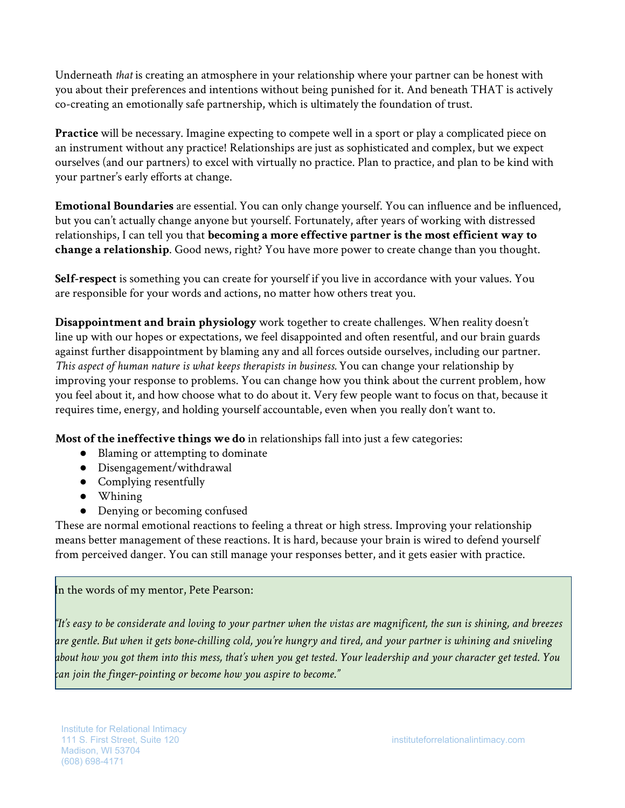Underneath *that* is creating an atmosphere in your relationship where your partner can be honest with you about their preferences and intentions without being punished for it. And beneath THAT is actively co-creating an emotionally safe partnership, which is ultimately the foundation of trust.

**Practice** will be necessary. Imagine expecting to compete well in a sport or play a complicated piece on an instrument without any practice! Relationships are just as sophisticated and complex, but we expect ourselves (and our partners) to excel with virtually no practice. Plan to practice, and plan to be kind with your partner's early efforts at change.

**Emotional Boundaries** are essential. You can only change yourself. You can influence and be influenced, but you can't actually change anyone but yourself. Fortunately, after years of working with distressed relationships, I can tell you that **becoming a more effective partner is the most efficient way to change a relationship**. Good news, right? You have more power to create change than you thought.

**Self-respect** is something you can create for yourself if you live in accordance with your values. You are responsible for your words and actions, no matter how others treat you.

**Disappointment and brain physiology** work together to create challenges. When reality doesn't line up with our hopes or expectations, we feel disappointed and often resentful, and our brain guards against further disappointment by blaming any and all forces outside ourselves, including our partner. *This aspect of human nature is what keeps therapists in business.* You can change your relationship by improving your response to problems. You can change how you think about the current problem, how you feel about it, and how choose what to do about it. Very few people want to focus on that, because it requires time, energy, and holding yourself accountable, even when you really don't want to.

**Most of the ineffective things we do** in relationships fall into just a few categories:

- Blaming or attempting to dominate
- Disengagement/withdrawal
- Complying resentfully
- Whining
- Denying or becoming confused

These are normal emotional reactions to feeling a threat or high stress. Improving your relationship means better management of these reactions. It is hard, because your brain is wired to defend yourself from perceived danger. You can still manage your responses better, and it gets easier with practice.

## In the words of my mentor, Pete Pearson:

"It's easy to be considerate and loving to your partner when the vistas are magnificent, the sun is shining, and breezes are gentle. But when it gets bone-chilling cold, you're hungry and tired, and your partner is whining and sniveling about how you got them into this mess, that's when you get tested. Your leadership and your character get tested. You *can join the finger-pointing or become how you aspire to become."*